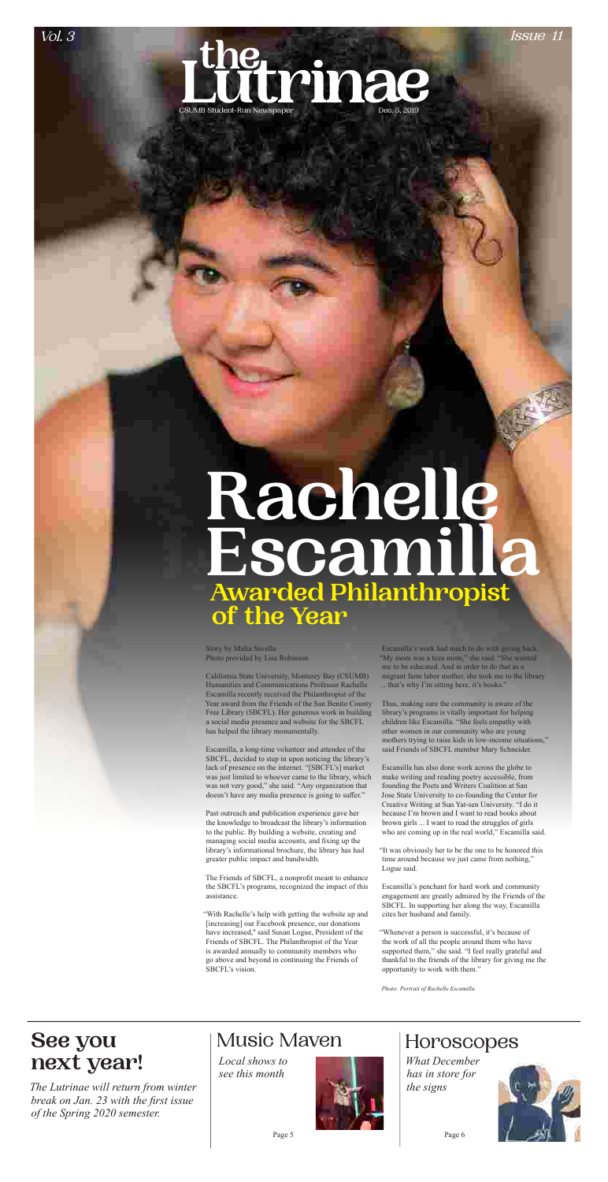

# **next year!** *Local shows to*

*see this month*



*What December has in store for the signs*



Page 5 Page 6

# Horoscopes

Story by Malia Savella Photo provided by Lisa Robinson

California State University, Monterey Bay (CSUMB) Humanities and Communications Professor Rachelle

Escamilla recently received the Philanthropist of the Year award from the Friends of the San Benito County Free Library (SBCFL). Her generous work in building a social media presence and website for the SBCFL has helped the library monumentally.

Escamilla, a long-time volunteer and attendee of the SBCFL, decided to step in upon noticing the library's lack of presence on the internet. "[SBCFL's] market was just limited to whoever came to the library, which was not very good," she said. "Any organization that doesn't have any media presence is going to suffer."

Escamilla's work had much to do with giving back. "My mom was a teen mom," she said. "She wanted me to be educated. And in order to do that as a migrant farm labor mother, she took me to the library that's why I'm sitting here, it's books."

Past outreach and publication experience gave her the knowledge to broadcast the library's information to the public. By building a website, creating and managing social media accounts, and fixing up the library's informational brochure, the library has had greater public impact and bandwidth.

The Friends of SBCFL, a nonprofit meant to enhance the SBCFL's programs, recognized the impact of this assistance.

"With Rachelle's help with getting the website up and [increasing] our Facebook presence, our donations have increased,'' said Susan Logue, President of the Friends of SBCFL. The Philanthropist of the Year is awarded annually to community members who go above and beyond in continuing the Friends of SBCFL's vision.

# **Rachelle Escamilla Awarded Philanthropist of the Year**

Thus, making sure the community is aware of the library's programs is vitally important for helping children like Escamilla. "She feels empathy with other women in our community who are young mothers trying to raise kids in low-income situations," said Friends of SBCFL member Mary Schneider.

Escamilla has also done work across the globe to make writing and reading poetry accessible, from founding the Poets and Writers Coalition at San Jose State University to co-founding the Center for Creative Writing at Sun Yat-sen University. "I do it because I'm brown and I want to read books about brown girls ... I want to read the struggles of girls who are coming up in the real world," Escamilla said.

"It was obviously her to be the one to be honored this time around because we just came from nothing," Logue said.

Escamilla's penchant for hard work and community engagement are greatly admired by the Friends of the SBCFL. In supporting her along the way, Escamilla cites her husband and family.

"Whenever a person is successful, it's because of the work of all the people around them who have supported them," she said. "I feel really grateful and thankful to the friends of the library for giving me the opportunity to work with them."

*Photo: Portrait of Rachelle Escamilla*

*The Lutrinae will return from winter break on Jan. 23 with the first issue of the Spring 2020 semester.* 

# **See you** | Music Maven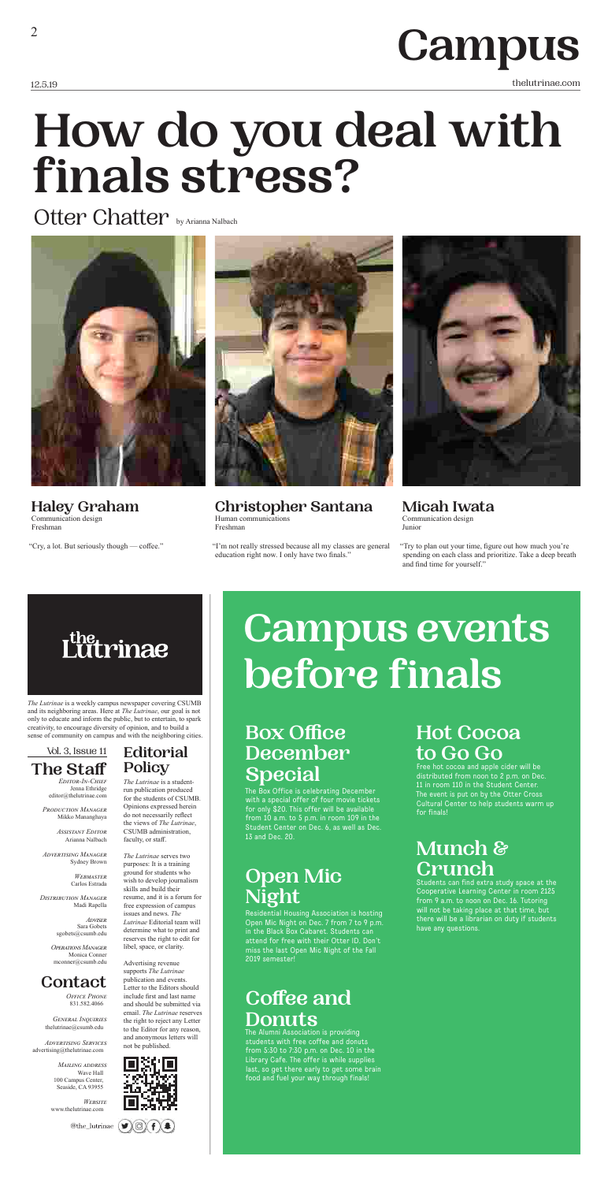12.5.19 thelutrinae.com

# **Campus**

*The Lutrinae* is a weekly campus newspaper covering CSUMB and its neighboring areas. Here at *The Lutrinae*, our goal is not only to educate and inform the public, but to entertain, to spark creativity, to encourage diversity of opinion, and to build a sense of community on campus and with the neighboring cities.

> *Editor-In-Chief* Jenna Ethridge editor@thelutrinae.com

*Production Manager* Mikko Mananghaya

> *Assistant Editor* Arianna Nalbach

*Advertising Manager* Sydney Brown

> *Webmaster* Carlos Estrada

*Distribution Manager* Madi Rapella

> *Adviser* Sara Gobets sgobets@csumb.edu

*Operations Manager* Monica Conner mconner@csumb.edu

### **The Staff** Vol. 3, Issue 11

### **Contact**

*Office Phone* 831.582.4066

*General Inquiries* thelutrinae@csumb.edu

*Advertising Services* advertising@thelutrinae.com

> *Mailing address* Wave Hall 100 Campus Center, Seaside, CA 93955

*Website* www.thelutrinae.com

@the\_lutrinae

*The Lutrinae* is a studentrun publication produced for the students of CSUMB. Opinions expressed herein do not necessarily reflect the views of *The Lutrinae*,



purposes: It is a training ground for students who wish to develop journalism skills and build their resume, and it is a forum for free expression of campus issues and news. *The Lutrinae* Editorial team will determine what to print and reserves the right to edit for libel, space, or clarity.

Advertising revenue supports *The Lutrinae* publication and events. Letter to the Editors should include first and last name and should be submitted via email. *The Lutrinae* reserves the right to reject any Letter to the Editor for any reason, and anonymous letters will not be published.





**Editorial** 

**Policy**

**Haley Graham** Communication design Freshman

"Cry, a lot. But seriously though — coffee."



**Christopher Santana**  Human communications Freshman

"I'm not really stressed because all my classes are general education right now. I only have two finals."



**Micah Iwata**  Communication design Junior

"Try to plan out your time, figure out how much you're spending on each class and prioritize. Take a deep breath and find time for yourself."

# rinae

# **How do you deal with finals stress?**

Otter Chatter by Arianna Nalbach



# **Box Office December Special**

The Box Office is celebrating December with a special offer of four movie tickets for only \$20. This offer will be available from 10 a.m. to 5 p.m. in room 109 in the Student Center on Dec. 6, as well as Dec. 13 and Dec. 20.

# **Open Mic Night**

Residential Housing Association is hosting Open Mic Night on Dec. 7 from 7 to 9 p.m. in the Black Box Cabaret. Students can attend for free with their Otter ID. Don't miss the last Open Mic Night of the Fall 2019 semester!

# **Coffee and Donuts**

The Alumni Association is providing students with free coffee and donuts from 5:30 to 7:30 p.m. on Dec. 10 in the Library Cafe. The offer is while supplies last, so get there early to get some brain food and fuel your way through finals!

# **Hot Cocoa to Go Go**

Free hot cocoa and apple cider will be distributed from noon to 2 p.m. on Dec. 11 in room 110 in the Student Center. The event is put on by the Otter Cross Cultural Center to help students warm up for finals!

# **Munch & Crunch**

Students can find extra study space at the Cooperative Learning Center in room 2125 from 9 a.m. to noon on Dec. 16. Tutoring will not be taking place at that time, but there will be a librarian on duty if students have any questions.

# **Campus events before finals**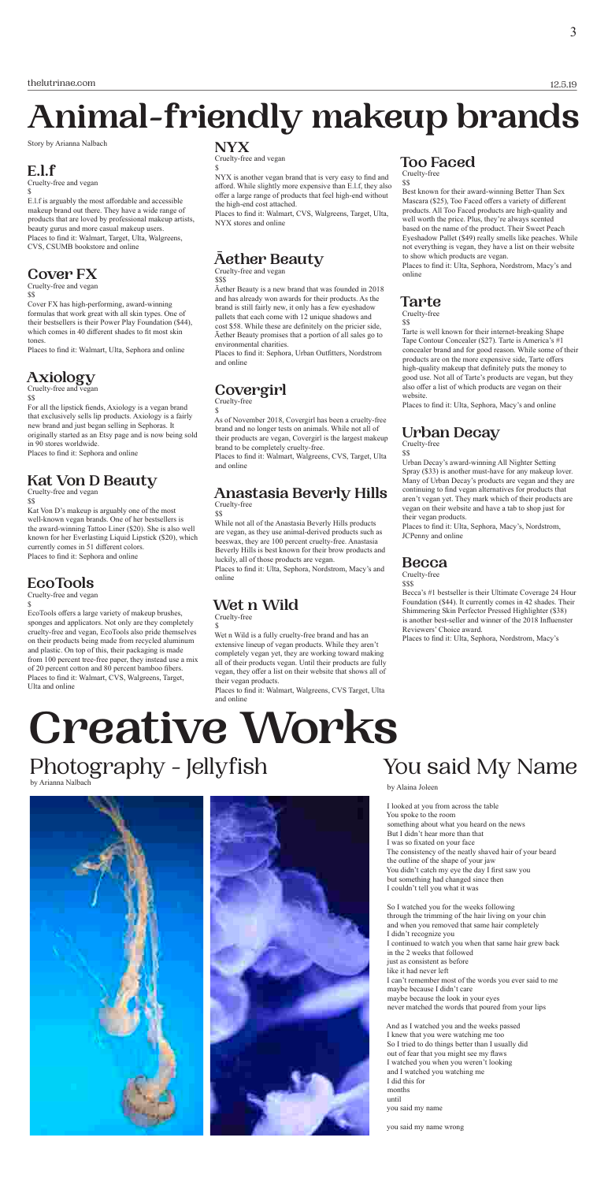# **Creative Works** Photography - Jellyfish You said My Name

12.5.19

Story by Arianna Nalbach

## **E.l.f**

Cruelty-free and vegan \$

E.l.f is arguably the most affordable and accessible makeup brand out there. They have a wide range of products that are loved by professional makeup artists, beauty gurus and more casual makeup users. Places to find it: Walmart, Target, Ulta, Walgreens, CVS, CSUMB bookstore and online

### **Cover FX**

Cruelty-free and vegan \$\$

Cover FX has high-performing, award-winning formulas that work great with all skin types. One of their bestsellers is their Power Play Foundation (\$44), which comes in 40 different shades to fit most skin tones.

Places to find it: Walmart, Ulta, Sephora and online

# **Axiology**

Cruelty-free and vegan

\$\$

For all the lipstick fiends, Axiology is a vegan brand that exclusively sells lip products. Axiology is a fairly new brand and just began selling in Sephoras. It originally started as an Etsy page and is now being sold in 90 stores worldwide.

Places to find it: Sephora and online

### **Kat Von D Beauty**

Cruelty-free and vegan

\$\$

Kat Von D's makeup is arguably one of the most well-known vegan brands. One of her bestsellers is the award-winning Tattoo Liner (\$20). She is also well known for her Everlasting Liquid Lipstick (\$20), which currently comes in 51 different colors. Places to find it: Sephora and online

## **EcoTools**

Cruelty-free and vegan

\$

EcoTools offers a large variety of makeup brushes, sponges and applicators. Not only are they completely cruelty-free and vegan, EcoTools also pride themselves on their products being made from recycled aluminum and plastic. On top of this, their packaging is made from 100 percent tree-free paper, they instead use a mix of 20 percent cotton and 80 percent bamboo fibers. Places to find it: Walmart, CVS, Walgreens, Target,

Ulta and online

### **NYX**

Cruelty-free and vegan

\$

NYX is another vegan brand that is very easy to find and afford. While slightly more expensive than E.l.f, they also offer a large range of products that feel high-end without the high-end cost attached.

Places to find it: Walmart, CVS, Walgreens, Target, Ulta, NYX stores and online

#### **Āether Beauty** Cruelty-free and vegan

\$\$\$

Āether Beauty is a new brand that was founded in 2018 and has already won awards for their products. As the brand is still fairly new, it only has a few eyeshadow pallets that each come with 12 unique shadows and cost \$58. While these are definitely on the pricier side, Āether Beauty promises that a portion of all sales go to environmental charities.

Places to find it: Sephora, Urban Outfitters, Nordstrom and online

#### **Covergirl** Cruelty-free

\$

As of November 2018, Covergirl has been a cruelty-free brand and no longer tests on animals. While not all of their products are vegan, Covergirl is the largest makeup brand to be completely cruelty-free.

Places to find it: Walmart, Walgreens, CVS, Target, Ulta and online

# **Anastasia Beverly Hills**

Cruelty-free \$\$

While not all of the Anastasia Beverly Hills products are vegan, as they use animal-derived products such as beeswax, they are 100 percent cruelty-free. Anastasia Beverly Hills is best known for their brow products and luckily, all of those products are vegan.

Places to find it: Ulta, Sephora, Nordstrom, Macy's and online

# **Wet n Wild**

Cruelty-free \$

Wet n Wild is a fully cruelty-free brand and has an extensive lineup of vegan products. While they aren't completely vegan yet, they are working toward making all of their products vegan. Until their products are fully vegan, they offer a list on their website that shows all of their vegan products.

Places to find it: Walmart, Walgreens, CVS Target, Ulta and online

## **Too Faced**

Cruelty-free \$\$

Best known for their award-winning Better Than Sex Mascara (\$25), Too Faced offers a variety of different products. All Too Faced products are high-quality and well worth the price. Plus, they're always scented based on the name of the product. Their Sweet Peach Eyeshadow Pallet (\$49) really smells like peaches. While not everything is vegan, they have a list on their website to show which products are vegan.

Places to find it: Ulta, Sephora, Nordstrom, Macy's and online

### **Tarte**

Cruelty-free \$\$

Tarte is well known for their internet-breaking Shape Tape Contour Concealer (\$27). Tarte is America's #1 concealer brand and for good reason. While some of their products are on the more expensive side, Tarte offers high-quality makeup that definitely puts the money to good use. Not all of Tarte's products are vegan, but they also offer a list of which products are vegan on their website.

Places to find it: Ulta, Sephora, Macy's and online

## **Urban Decay**

Cruelty-free \$\$

Urban Decay's award-winning All Nighter Setting Spray (\$33) is another must-have for any makeup lover. Many of Urban Decay's products are vegan and they are continuing to find vegan alternatives for products that aren't vegan yet. They mark which of their products are vegan on their website and have a tab to shop just for their vegan products.

Places to find it: Ulta, Sephora, Macy's, Nordstrom, JCPenny and online

### **Becca**

Cruelty-free \$\$\$

Becca's #1 bestseller is their Ultimate Coverage 24 Hour Foundation (\$44). It currently comes in 42 shades. Their Shimmering Skin Perfector Pressed Highlighter (\$38) is another best-seller and winner of the 2018 Influenster Reviewers' Choice award.

Places to find it: Ulta, Sephora, Nordstrom, Macy's

# **Animal-friendly makeup brands**

by Alaina Joleen

I looked at you from across the table You spoke to the room something about what you heard on the news But I didn't hear more than that I was so fixated on your face The consistency of the neatly shaved hair of your beard the outline of the shape of your jaw You didn't catch my eye the day I first saw you but something had changed since then I couldn't tell you what it was

So I watched you for the weeks following through the trimming of the hair living on your chin and when you removed that same hair completely I didn't recognize you I continued to watch you when that same hair grew back in the 2 weeks that followed just as consistent as before like it had never left I can't remember most of the words you ever said to me maybe because I didn't care maybe because the look in your eyes never matched the words that poured from your lips

And as I watched you and the weeks passed I knew that you were watching me too So I tried to do things better than I usually did out of fear that you might see my flaws I watched you when you weren't looking and I watched you watching me I did this for months until you said my name

you said my name wrong

by Arianna Nalbach

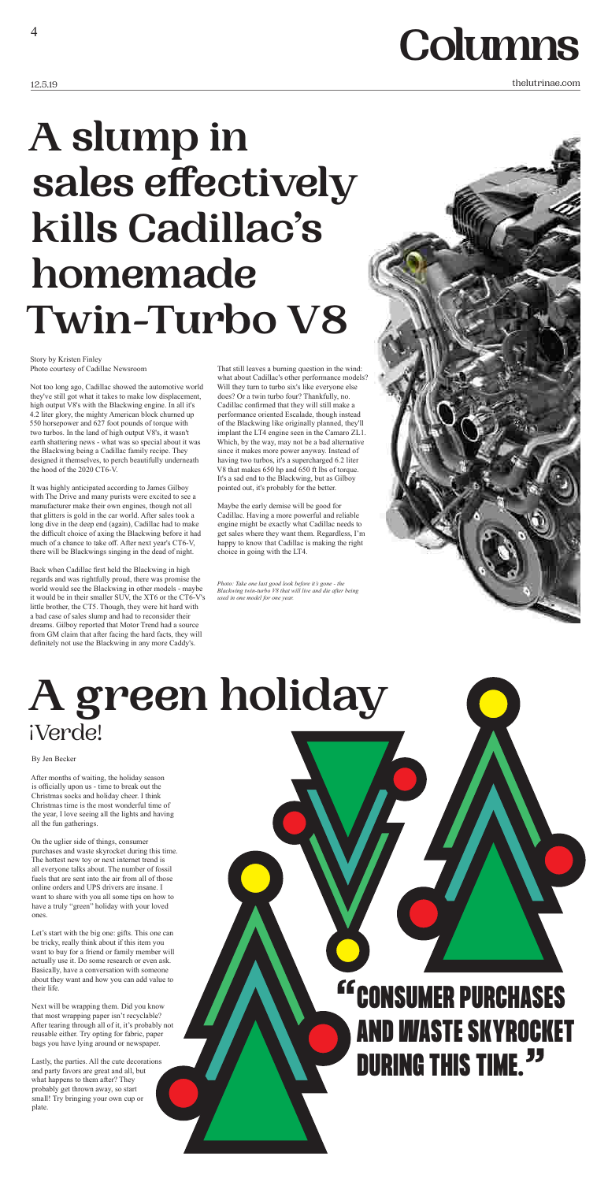# **Columns**

Story by Kristen Finley Photo courtesy of Cadillac Newsroom

Not too long ago, Cadillac showed the automotive world they've still got what it takes to make low displacement, high output V8's with the Blackwing engine. In all it's 4.2 liter glory, the mighty American block churned up 550 horsepower and 627 foot pounds of torque with two turbos. In the land of high output V8's, it wasn't earth shattering news - what was so special about it was the Blackwing being a Cadillac family recipe. They designed it themselves, to perch beautifully underneath the hood of the 2020 CT6-V.

It was highly anticipated according to James Gilboy with The Drive and many purists were excited to see a manufacturer make their own engines, though not all that glitters is gold in the car world. After sales took a long dive in the deep end (again), Cadillac had to make the difficult choice of axing the Blackwing before it had much of a chance to take off. After next year's CT6-V, there will be Blackwings singing in the dead of night.

Back when Cadillac first held the Blackwing in high regards and was rightfully proud, there was promise the world would see the Blackwing in other models - maybe it would be in their smaller SUV, the XT6 or the CT6-V's little brother, the CT5. Though, they were hit hard with a bad case of sales slump and had to reconsider their dreams. Gilboy reported that Motor Trend had a source from GM claim that after facing the hard facts, they will definitely not use the Blackwing in any more Caddy's.

That still leaves a burning question in the wind: what about Cadillac's other performance models? Will they turn to turbo six's like everyone else does? Or a twin turbo four? Thankfully, no. Cadillac confirmed that they will still make a performance oriented Escalade, though instead of the Blackwing like originally planned, they'll implant the LT4 engine seen in the Camaro ZL1. Which, by the way, may not be a bad alternative since it makes more power anyway. Instead of having two turbos, it's a supercharged 6.2 liter V8 that makes 650 hp and 650 ft lbs of torque. It's a sad end to the Blackwing, but as Gilboy pointed out, it's probably for the better.

Maybe the early demise will be good for Cadillac. Having a more powerful and reliable engine might be exactly what Cadillac needs to get sales where they want them. Regardless, I'm happy to know that Cadillac is making the right choice in going with the LT4.

# **A slump in sales effectively kills Cadillac's homemade Twin-Turbo V8**

By Jen Becker

After months of waiting, the holiday season is officially upon us - time to break out the Christmas socks and holiday cheer. I think Christmas time is the most wonderful time of the year, I love seeing all the lights and having all the fun gatherings.

On the uglier side of things, consumer purchases and waste skyrocket during this time. The hottest new toy or next internet trend is all everyone talks about. The number of fossil fuels that are sent into the air from all of those online orders and UPS drivers are insane. I want to share with you all some tips on how to have a truly "green" holiday with your loved ones.

Let's start with the big one: gifts. This one can be tricky, really think about if this item you want to buy for a friend or family member will actually use it. Do some research or even ask. Basically, have a conversation with someone about they want and how you can add value to their life.

Next will be wrapping them. Did you know that most wrapping paper isn't recyclable? After tearing through all of it, it's probably not reusable either. Try opting for fabric, paper bags you have lying around or newspaper.

Lastly, the parties. All the cute decorations and party favors are great and all, but what happens to them after? They probably get thrown away, so start small! Try bringing your own cup or plate.

# <sup>CC</sup> CONSUMER PURCHASES AND WASTE SKYROCKET **DURING THIS TIME. 33**

# **A green holiday** Verde!

*Photo: Take one last good look before it's gone - the Blackwing twin-turbo V8 that will live and die after being used in one model for one year.*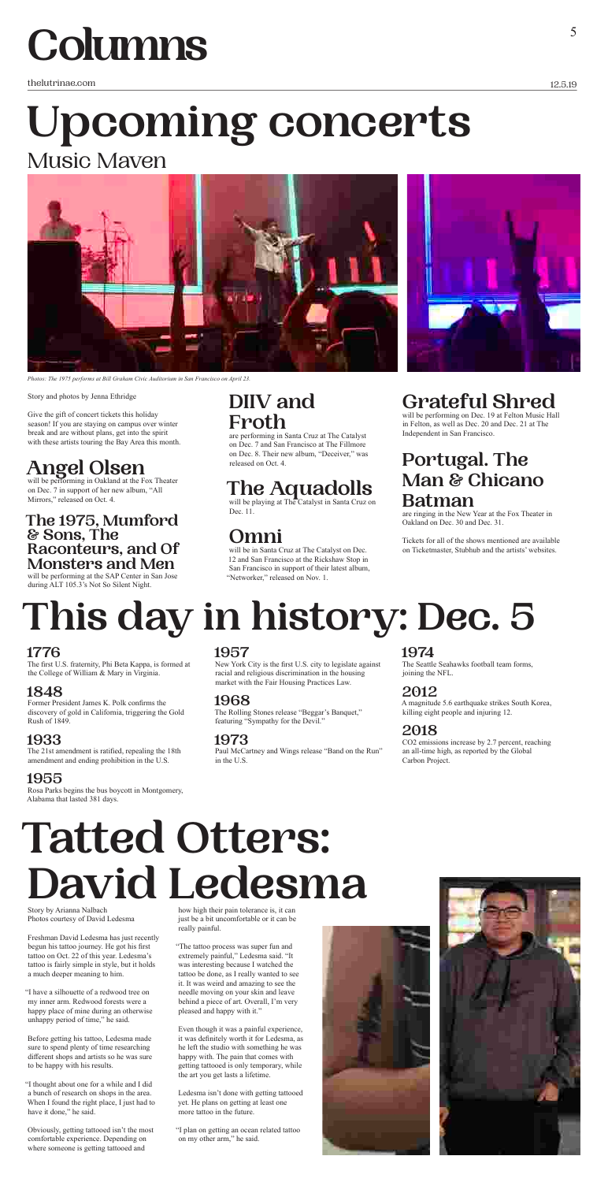thelutrinae.com

12.5.19

# **Columns**

Story and photos by Jenna Ethridge

Give the gift of concert tickets this holiday season! If you are staying on campus over winter break and are without plans, get into the spirit with these artists touring the Bay Area this month.

# **Angel Olsen**

will be performing in Oakland at the Fox Theater on Dec. 7 in support of her new album, "All Mirrors," released on Oct. 4.

### **The 1975, Mumford & Sons, The Raconteurs, and Of Monsters and Men**

**Omni** will be in Santa Cruz at The Catalyst on Dec. 12 and San Francisco at the Rickshaw Stop in San Francisco in support of their latest album, "Networker," released on Nov. 1.

will be performing at the SAP Center in San Jose during ALT 105.3's Not So Silent Night.

# **Upcoming concerts** Music Maven

# **DIIV and Froth**

are performing in Santa Cruz at The Catalyst on Dec. 7 and San Francisco at The Fillmore on Dec. 8. Their new album, "Deceiver," was released on Oct. 4.

# **The Aquadolls**  will be playing at The Catalyst in Santa Cruz on

Dec. 11.

Story by Arianna Nalbach Photos courtesy of David Ledesma

Freshman David Ledesma has just recently begun his tattoo journey. He got his first tattoo on Oct. 22 of this year. Ledesma's tattoo is fairly simple in style, but it holds a much deeper meaning to him.

"I have a silhouette of a redwood tree on my inner arm. Redwood forests were a happy place of mine during an otherwise unhappy period of time," he said.

Before getting his tattoo, Ledesma made sure to spend plenty of time researching different shops and artists so he was sure to be happy with his results.

"I thought about one for a while and I did a bunch of research on shops in the area. When I found the right place, I just had to have it done," he said.

Obviously, getting tattooed isn't the most comfortable experience. Depending on where someone is getting tattooed and

# **Tatted Otters: David Ledesma**

how high their pain tolerance is, it can just be a bit uncomfortable or it can be really painful.

"The tattoo process was super fun and extremely painful," Ledesma said. "It was interesting because I watched the tattoo be done, as I really wanted to see it. It was weird and amazing to see the needle moving on your skin and leave behind a piece of art. Overall, I'm very pleased and happy with it."

Even though it was a painful experience, it was definitely worth it for Ledesma, as he left the studio with something he was happy with. The pain that comes with getting tattooed is only temporary, while the art you get lasts a lifetime.

Ledesma isn't done with getting tattooed yet. He plans on getting at least one more tattoo in the future.

"I plan on getting an ocean related tattoo on my other arm," he said.





# **Grateful Shred**

will be performing on Dec. 19 at Felton Music Hall in Felton, as well as Dec. 20 and Dec. 21 at The Independent in San Francisco.

# **Portugal. The Man & Chicano Batman**

are ringing in the New Year at the Fox Theater in Oakland on Dec. 30 and Dec. 31.

Tickets for all of the shows mentioned are available on Ticketmaster, Stubhub and the artists' websites.



*Photos: The 1975 performs at Bill Graham Civic Auditorium in San Francisco on April 23.*

### **1776**

The first U.S. fraternity, Phi Beta Kappa, is formed at the College of William & Mary in Virginia.

#### **1848**

Former President James K. Polk confirms the discovery of gold in California, triggering the Gold Rush of 1849.

# **1933**

The 21st amendment is ratified, repealing the 18th amendment and ending prohibition in the U.S.

# **1955**

Rosa Parks begins the bus boycott in Montgomery, Alabama that lasted 381 days.

### **1957**

New York City is the first U.S. city to legislate against racial and religious discrimination in the housing market with the Fair Housing Practices Law.

# **1968**

The Rolling Stones release "Beggar's Banquet," featuring "Sympathy for the Devil."

# **1973**

Paul McCartney and Wings release "Band on the Run" in the U.S.

**1974**

The Seattle Seahawks football team forms, joining the NFL.

#### **2012**

A magnitude 5.6 earthquake strikes South Korea, killing eight people and injuring 12.

# **2018**

CO2 emissions increase by 2.7 percent, reaching an all-time high, as reported by the Global Carbon Project.

# **This day in history: Dec. 5**